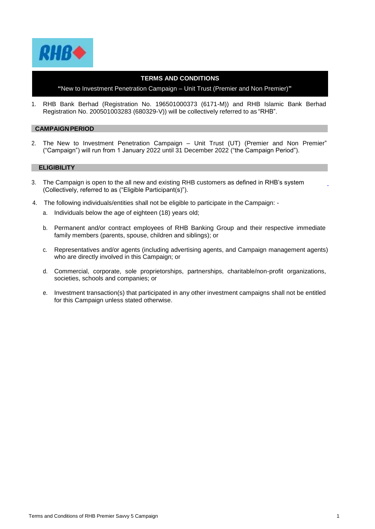

## **TERMS AND CONDITIONS**

**"**New to Investment Penetration Campaign – Unit Trust (Premier and Non Premier)**"**

1. RHB Bank Berhad (Registration No. 196501000373 (6171-M)) and RHB Islamic Bank Berhad Registration No. 200501003283 (680329-V)) will be collectively referred to as "RHB".

### **CAMPAIGNPERIOD**

2. The New to Investment Penetration Campaign – Unit Trust (UT) (Premier and Non Premier" ("Campaign") will run from 1 January 2022 until 31 December 2022 ("the Campaign Period").

### **ELIGIBILITY**

- 3. The Campaign is open to the all new and existing RHB customers as defined in RHB's system (Collectively, referred to as ("Eligible Participant(s)").
- 4. The following individuals/entities shall not be eligible to participate in the Campaign:
	- a. Individuals below the age of eighteen (18) years old;
	- b. Permanent and/or contract employees of RHB Banking Group and their respective immediate family members (parents, spouse, children and siblings); or
	- c. Representatives and/or agents (including advertising agents, and Campaign management agents) who are directly involved in this Campaign; or
	- d. Commercial, corporate, sole proprietorships, partnerships, charitable/non-profit organizations, societies, schools and companies; or
	- e. Investment transaction(s) that participated in any other investment campaigns shall not be entitled for this Campaign unless stated otherwise.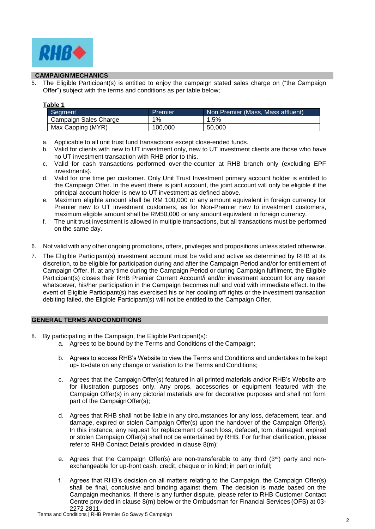

## **CAMPAIGN MECHANICS**

5. The Eligible Participant(s) is entitled to enjoy the campaign stated sales charge on ("the Campaign Offer") subject with the terms and conditions as per table below;

| л<br>٠<br>u<br>. . |
|--------------------|
|--------------------|

| Segment               | Premier | Non Premier (Mass, Mass affluent) |
|-----------------------|---------|-----------------------------------|
| Campaign Sales Charge | 1%      | 1.5%                              |
| Max Capping (MYR)     | 100,000 | 50.000                            |

- a. Applicable to all unit trust fund transactions except close-ended funds.
- b. Valid for clients with new to UT investment only, new to UT investment clients are those who have no UT investment transaction with RHB prior to this.
- c. Valid for cash transactions performed over-the-counter at RHB branch only (excluding EPF investments).
- d. Valid for one time per customer. Only Unit Trust Investment primary account holder is entitled to the Campaign Offer. In the event there is joint account, the joint account will only be eligible if the principal account holder is new to UT investment as defined above.
- e. Maximum eligible amount shall be RM 100,000 or any amount equivalent in foreign currency for Premier new to UT investment customers, as for Non-Premier new to investment customers, maximum eligible amount shall be RM50,000 or any amount equivalent in foreign currency.
- f. The unit trust investment is allowed in multiple transactions, but all transactions must be performed on the same day.
- 6. Not valid with any other ongoing promotions, offers, privileges and propositions unless stated otherwise.
- 7. The Eligible Participant(s) investment account must be valid and active as determined by RHB at its discretion, to be eligible for participation during and after the Campaign Period and/or for entitlement of Campaign Offer. If, at any time during the Campaign Period or during Campaign fulfilment, the Eligible Participant(s) closes their RHB Premier Current Account/i and/or investment account for any reason whatsoever, his/her participation in the Campaign becomes null and void with immediate effect. In the event of Eligible Participant(s) has exercised his or her cooling off rights or the investment transaction debiting failed, the Eligible Participant(s) will not be entitled to the Campaign Offer.

### **GENERAL TERMS ANDCONDITIONS**

- 8. By participating in the Campaign, the Eligible Participant(s):
	- a. Agrees to be bound by the Terms and Conditions of the Campaign;
	- b. Agrees to access RHB's Website to view the Terms and Conditions and undertakes to be kept up- to-date on any change or variation to the Terms and Conditions;
	- c. Agrees that the Campaign Offer(s) featured in all printed materials and/or RHB's Website are for illustration purposes only. Any props, accessories or equipment featured with the Campaign Offer(s) in any pictorial materials are for decorative purposes and shall not form part of the CampaignOffer(s);
	- d. Agrees that RHB shall not be liable in any circumstances for any loss, defacement, tear, and damage, expired or stolen Campaign Offer(s) upon the handover of the Campaign Offer(s). In this instance, any request for replacement of such loss, defaced, torn, damaged, expired or stolen Campaign Offer(s) shall not be entertained by RHB. For further clarification, please refer to RHB Contact Details provided in clause 8(m);
	- e. Agrees that the Campaign Offer(s) are non-transferable to any third  $(3<sup>rd</sup>)$  party and nonexchangeable for up-front cash, credit, cheque or in kind; in part or infull;
	- f. Agrees that RHB's decision on all matters relating to the Campaign, the Campaign Offer(s) shall be final, conclusive and binding against them. The decision is made based on the Campaign mechanics. If there is any further dispute, please refer to RHB Customer Contact Centre provided in clause 8(m) below or the Ombudsman for Financial Services (OFS) at 03- 2272 2811.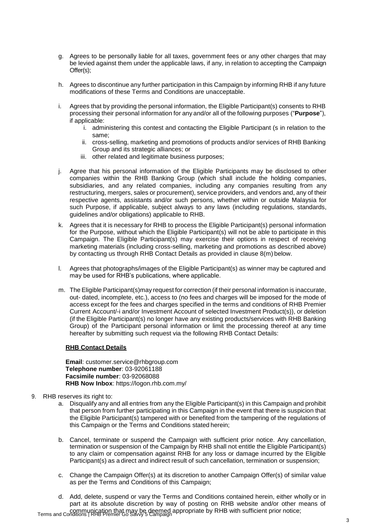- g. Agrees to be personally liable for all taxes, government fees or any other charges that may be levied against them under the applicable laws, if any, in relation to accepting the Campaign Offer(s);
- h. Agrees to discontinue any further participation in this Campaign by informing RHB if any future modifications of these Terms and Conditions are unacceptable.
- i. Agrees that by providing the personal information, the Eligible Participant(s) consents to RHB processing their personal information for any and/or all of the following purposes ("**Purpose**"), if applicable:
	- i. administering this contest and contacting the Eligible Participant (s in relation to the same;
	- ii. cross-selling, marketing and promotions of products and/or services of RHB Banking Group and its strategic alliances; or
	- iii. other related and legitimate business purposes;
- j. Agree that his personal information of the Eligible Participants may be disclosed to other companies within the RHB Banking Group (which shall include the holding companies, subsidiaries, and any related companies, including any companies resulting from any restructuring, mergers, sales or procurement), service providers, and vendors and, any of their respective agents, assistants and/or such persons, whether within or outside Malaysia for such Purpose, if applicable, subject always to any laws (including regulations, standards, guidelines and/or obligations) applicable to RHB.
- k. Agrees that it is necessary for RHB to process the Eligible Participant(s) personal information for the Purpose, without which the Eligible Participant(s) will not be able to participate in this Campaign. The Eligible Participant(s) may exercise their options in respect of receiving marketing materials (including cross-selling, marketing and promotions as described above) by contacting us through RHB Contact Details as provided in clause 8(m) below.
- l. Agrees that photographs/images of the Eligible Participant(s) as winner may be captured and may be used for RHB's publications, where applicable.
- m. The Eligible Participant(s)may request for correction (if their personal information is inaccurate, out- dated, incomplete, etc.), access to (no fees and charges will be imposed for the mode of access except for the fees and charges specified in the terms and conditions of RHB Premier Current Account/-i and/or Investment Account of selected Investment Product(s)), or deletion (if the Eligible Participant(s) no longer have any existing products/services with RHB Banking Group) of the Participant personal information or limit the processing thereof at any time hereafter by submitting such request via the following RHB Contact Details:

# **RHB Contact Details**

**Email**: [customer.service@rhbgroup.com](mailto:customer.service@rhbgroup.com) **Telephone number**: 03-92061188 **Facsimile number**: 03-92068088 **RHB Now Inbox**: https://logon.rhb.com.my/

### 9. RHB reserves its right to:

- a. Disqualify any and all entries from any the Eligible Participant(s) in this Campaign and prohibit that person from further participating in this Campaign in the event that there is suspicion that the Eligible Participant(s) tampered with or benefited from the tampering of the regulations of this Campaign or the Terms and Conditions stated herein;
- b. Cancel, terminate or suspend the Campaign with sufficient prior notice. Any cancellation, termination or suspension of the Campaign by RHB shall not entitle the Eligible Participant(s) to any claim or compensation against RHB for any loss or damage incurred by the Eligible Participant(s) as a direct and indirect result of such cancellation, termination or suspension;
- c. Change the Campaign Offer(s) at its discretion to another Campaign Offer(s) of similar value as per the Terms and Conditions of this Campaign;
- Terms and Conditions | RHB Premier Go Savvy 5 Campaign communication that may be deemed appropriate by RHB with sufficient prior notice;d. Add, delete, suspend or vary the Terms and Conditions contained herein, either wholly or in part at its absolute discretion by way of posting on RHB website and/or other means of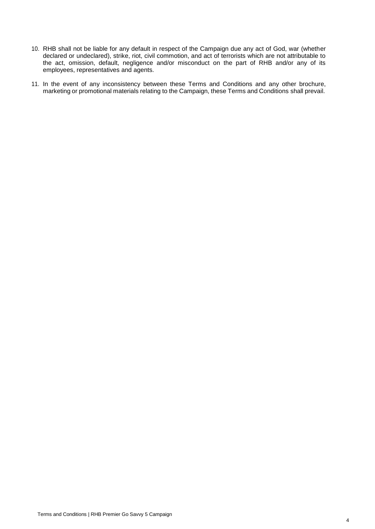- 10. RHB shall not be liable for any default in respect of the Campaign due any act of God, war (whether declared or undeclared), strike, riot, civil commotion, and act of terrorists which are not attributable to the act, omission, default, negligence and/or misconduct on the part of RHB and/or any of its employees, representatives and agents.
- 11. In the event of any inconsistency between these Terms and Conditions and any other brochure, marketing or promotional materials relating to the Campaign, these Terms and Conditions shall prevail.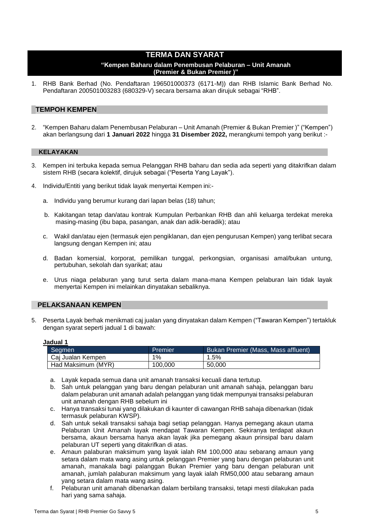# **TERMA DAN SYARAT**

## **"Kempen Baharu dalam Penembusan Pelaburan – Unit Amanah (Premier & Bukan Premier )"**

1. RHB Bank Berhad (No. Pendaftaran 196501000373 (6171-M)) dan RHB Islamic Bank Berhad No. Pendaftaran 200501003283 (680329-V) secara bersama akan dirujuk sebagai "RHB".

# **TEMPOH KEMPEN**

2. "Kempen Baharu dalam Penembusan Pelaburan – Unit Amanah (Premier & Bukan Premier )" ("Kempen") akan berlangsung dari **1 Januari 2022** hingga **31 Disember 2022,** merangkumi tempoh yang berikut :-

#### **KELAYAKAN**

- 3. Kempen ini terbuka kepada semua Pelanggan RHB baharu dan sedia ada seperti yang ditakrifkan dalam sistem RHB (secara kolektif, dirujuk sebagai ("Peserta Yang Layak").
- 4. Individu/Entiti yang berikut tidak layak menyertai Kempen ini:
	- a. Individu yang berumur kurang dari lapan belas (18) tahun;
	- b. Kakitangan tetap dan/atau kontrak Kumpulan Perbankan RHB dan ahli keluarga terdekat mereka masing-masing (ibu bapa, pasangan, anak dan adik-beradik); atau
	- c. Wakil dan/atau ejen (termasuk ejen pengiklanan, dan ejen pengurusan Kempen) yang terlibat secara langsung dengan Kempen ini; atau
	- d. Badan komersial, korporat, pemilikan tunggal, perkongsian, organisasi amal/bukan untung, pertubuhan, sekolah dan syarikat; atau
	- e. Urus niaga pelaburan yang turut serta dalam mana-mana Kempen pelaburan lain tidak layak menyertai Kempen ini melainkan dinyatakan sebaliknya.

## **PELAKSANAAN KEMPEN**

5. Peserta Layak berhak menikmati caj jualan yang dinyatakan dalam Kempen ("Tawaran Kempen") tertakluk dengan syarat seperti jadual 1 di bawah:

| ladual |  |
|--------|--|
|        |  |

| .                  |         |                                     |  |
|--------------------|---------|-------------------------------------|--|
| Segmen             | Premier | Bukan Premier (Mass, Mass affluent) |  |
| Caj Jualan Kempen  | 1%      | 1.5%                                |  |
| Had Maksimum (MYR) | 100.000 | 50.000                              |  |

- a. Layak kepada semua dana unit amanah transaksi kecuali dana tertutup.
- b. Sah untuk pelanggan yang baru dengan pelaburan unit amanah sahaja, pelanggan baru dalam pelaburan unit amanah adalah pelanggan yang tidak mempunyai transaksi pelaburan unit amanah dengan RHB sebelum ini
- c. Hanya transaksi tunai yang dilakukan di kaunter di cawangan RHB sahaja dibenarkan (tidak termasuk pelaburan KWSP).
- d. Sah untuk sekali transaksi sahaja bagi setiap pelanggan. Hanya pemegang akaun utama Pelaburan Unit Amanah layak mendapat Tawaran Kempen. Sekiranya terdapat akaun bersama, akaun bersama hanya akan layak jika pemegang akaun prinsipal baru dalam pelaburan UT seperti yang ditakrifkan di atas.
- e. Amaun palaburan maksimum yang layak ialah RM 100,000 atau sebarang amaun yang setara dalam mata wang asing untuk pelanggan Premier yang baru dengan pelaburan unit amanah, manakala bagi palanggan Bukan Premier yang baru dengan pelaburan unit amanah, jumlah palaburan maksimum yang layak ialah RM50,000 atau sebarang amaun yang setara dalam mata wang asing.
- f. Pelaburan unit amanah dibenarkan dalam berbilang transaksi, tetapi mesti dilakukan pada hari yang sama sahaja.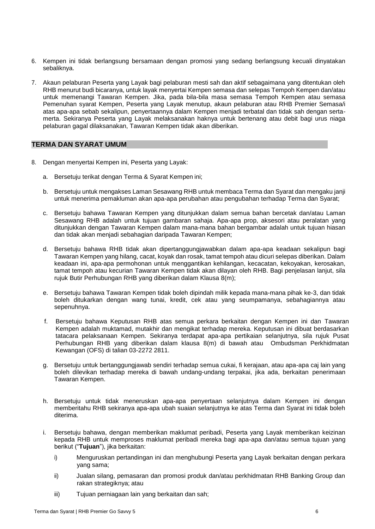- 6. Kempen ini tidak berlangsung bersamaan dengan promosi yang sedang berlangsung kecuali dinyatakan sebaliknya.
- 7. Akaun pelaburan Peserta yang Layak bagi pelaburan mesti sah dan aktif sebagaimana yang ditentukan oleh RHB menurut budi bicaranya, untuk layak menyertai Kempen semasa dan selepas Tempoh Kempen dan/atau untuk memenangi Tawaran Kempen. Jika, pada bila-bila masa semasa Tempoh Kempen atau semasa Pemenuhan syarat Kempen, Peserta yang Layak menutup, akaun pelaburan atau RHB Premier Semasa/i atas apa-apa sebab sekalipun, penyertaannya dalam Kempen menjadi terbatal dan tidak sah dengan sertamerta. Sekiranya Peserta yang Layak melaksanakan haknya untuk bertenang atau debit bagi urus niaga pelaburan gagal dilaksanakan, Tawaran Kempen tidak akan diberikan.

# **TERMA DAN SYARAT UMUM**

- 8. Dengan menyertai Kempen ini, Peserta yang Layak:
	- a. Bersetuju terikat dengan Terma & Syarat Kempen ini;
	- b. Bersetuju untuk mengakses Laman Sesawang RHB untuk membaca Terma dan Syarat dan mengaku janji untuk menerima pemakluman akan apa-apa perubahan atau pengubahan terhadap Terma dan Syarat;
	- c. Bersetuju bahawa Tawaran Kempen yang ditunjukkan dalam semua bahan bercetak dan/atau Laman Sesawang RHB adalah untuk tujuan gambaran sahaja. Apa-apa prop, aksesori atau peralatan yang ditunjukkan dengan Tawaran Kempen dalam mana-mana bahan bergambar adalah untuk tujuan hiasan dan tidak akan menjadi sebahagian daripada Tawaran Kempen;
	- d. Bersetuju bahawa RHB tidak akan dipertanggungjawabkan dalam apa-apa keadaan sekalipun bagi Tawaran Kempen yang hilang, cacat, koyak dan rosak, tamat tempoh atau dicuri selepas diberikan. Dalam keadaan ini, apa-apa permohonan untuk menggantikan kehilangan, kecacatan, kekoyakan, kerosakan, tamat tempoh atau kecurian Tawaran Kempen tidak akan dilayan oleh RHB. Bagi penjelasan lanjut, sila rujuk Butir Perhubungan RHB yang diberikan dalam Klausa 8(m);
	- e. Bersetuju bahawa Tawaran Kempen tidak boleh dipindah milik kepada mana-mana pihak ke-3, dan tidak boleh ditukarkan dengan wang tunai, kredit, cek atau yang seumpamanya, sebahagiannya atau sepenuhnya.
	- f. Bersetuju bahawa Keputusan RHB atas semua perkara berkaitan dengan Kempen ini dan Tawaran Kempen adalah muktamad, mutakhir dan mengikat terhadap mereka. Keputusan ini dibuat berdasarkan tatacara pelaksanaan Kempen. Sekiranya terdapat apa-apa pertikaian selanjutnya, sila rujuk Pusat Perhubungan RHB yang diberikan dalam klausa 8(m) di bawah atau Ombudsman Perkhidmatan Kewangan (OFS) di talian 03-2272 2811.
	- g. Bersetuju untuk bertanggungjawab sendiri terhadap semua cukai, fi kerajaan, atau apa-apa caj lain yang boleh dilevikan terhadap mereka di bawah undang-undang terpakai, jika ada, berkaitan penerimaan Tawaran Kempen.
	- h. Bersetuju untuk tidak meneruskan apa-apa penyertaan selanjutnya dalam Kempen ini dengan memberitahu RHB sekiranya apa-apa ubah suaian selanjutnya ke atas Terma dan Syarat ini tidak boleh diterima.
	- i. Bersetuju bahawa, dengan memberikan maklumat peribadi, Peserta yang Layak memberikan keizinan kepada RHB untuk memproses maklumat peribadi mereka bagi apa-apa dan/atau semua tujuan yang berikut ("**Tujuan**"), jika berkaitan:
		- i) Menguruskan pertandingan ini dan menghubungi Peserta yang Layak berkaitan dengan perkara yang sama;
		- ii) Jualan silang, pemasaran dan promosi produk dan/atau perkhidmatan RHB Banking Group dan rakan strategiknya; atau
		- iii) Tujuan perniagaan lain yang berkaitan dan sah;